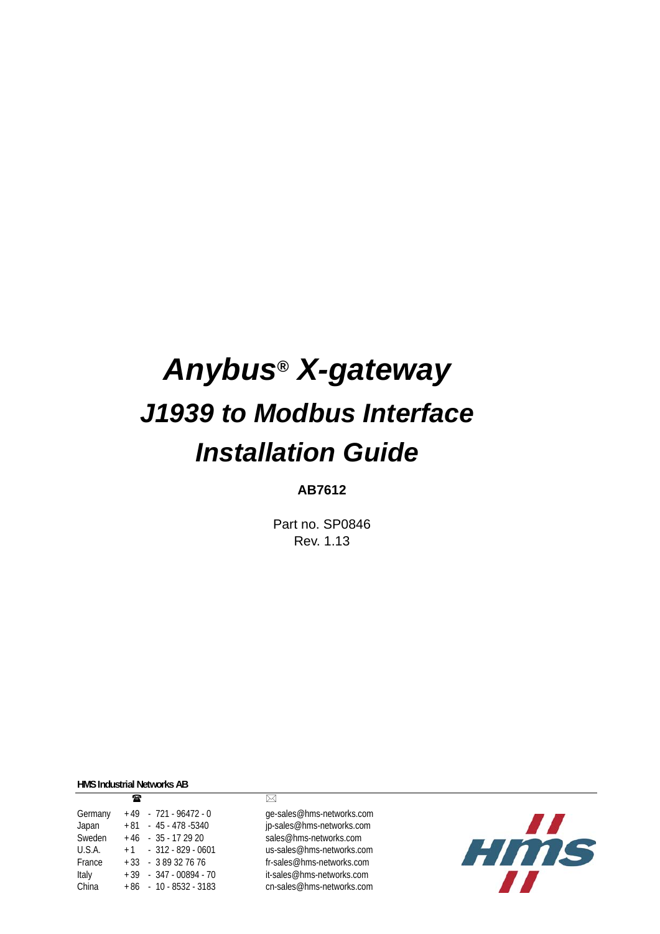# *Anybus***®** *X-gateway J1939 to Modbus Interface Installation Guide*

#### **AB7612**

Part no. SP0846 Rev. 1.13

**HMS Industrial Networks AB**

|         | æ |                          | ⊠      |
|---------|---|--------------------------|--------|
| Germany |   | $+49 - 721 - 96472 - 0$  | qe-    |
| Japan   |   | $+81 - 45 - 478 - 5340$  | jp-s   |
| Sweden  |   | $+46 - 35 - 172920$      | sal    |
| U.S.A.  |   | $+1$ $-312 - 829 - 0601$ | US-    |
| France  |   | $+33 - 389327676$        | $fr-S$ |
| Italy   |   | $+39 - 347 - 00894 - 70$ | it-s   |
| China   |   | $+86 - 10 - 8532 - 3183$ | cn-    |
|         |   |                          |        |

ge-sales@hms-networks.com jp-sales@hms-networks.com sales@hms-networks.com us-sales@hms-networks.com fr-sales@hms-networks.com it-sales@hms-networks.com cn-sales@hms-networks.com

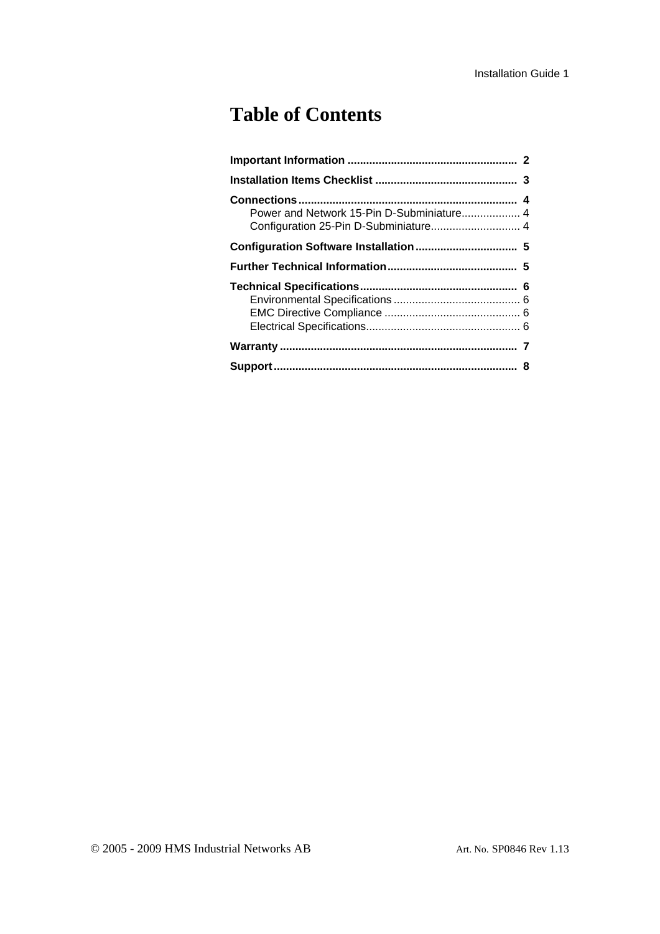## **Table of Contents**

| Configuration 25-Pin D-Subminiature 4 |  |
|---------------------------------------|--|
|                                       |  |
|                                       |  |
|                                       |  |
|                                       |  |
|                                       |  |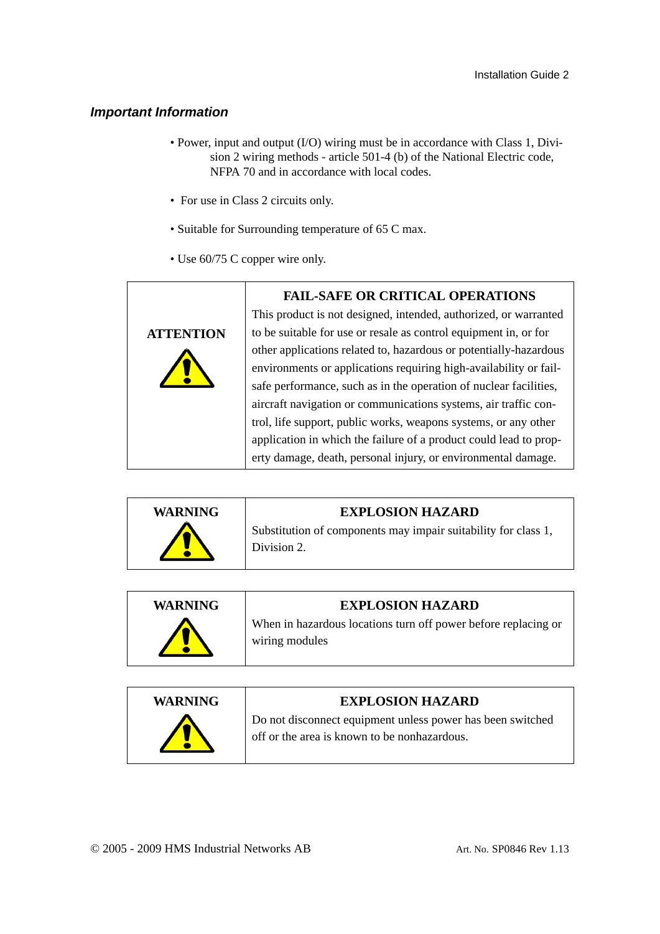#### <span id="page-2-0"></span>*Important Information*

- Power, input and output (I/O) wiring must be in accordance with Class 1, Division 2 wiring methods - article 501-4 (b) of the National Electric code, NFPA 70 and in accordance with local codes.
- For use in Class 2 circuits only.
- Suitable for Surrounding temperature of 65 C max.
- Use 60/75 C copper wire only.





| <b>WARNING</b> | <b>EXPLOSION HAZARD</b>                                                          |
|----------------|----------------------------------------------------------------------------------|
|                | When in hazardous locations turn off power before replacing or<br>wiring modules |
|                |                                                                                  |

| <b>WARNING</b> | <b>EXPLOSION HAZARD</b>                                                                                    |
|----------------|------------------------------------------------------------------------------------------------------------|
|                | Do not disconnect equipment unless power has been switched<br>off or the area is known to be nonhazardous. |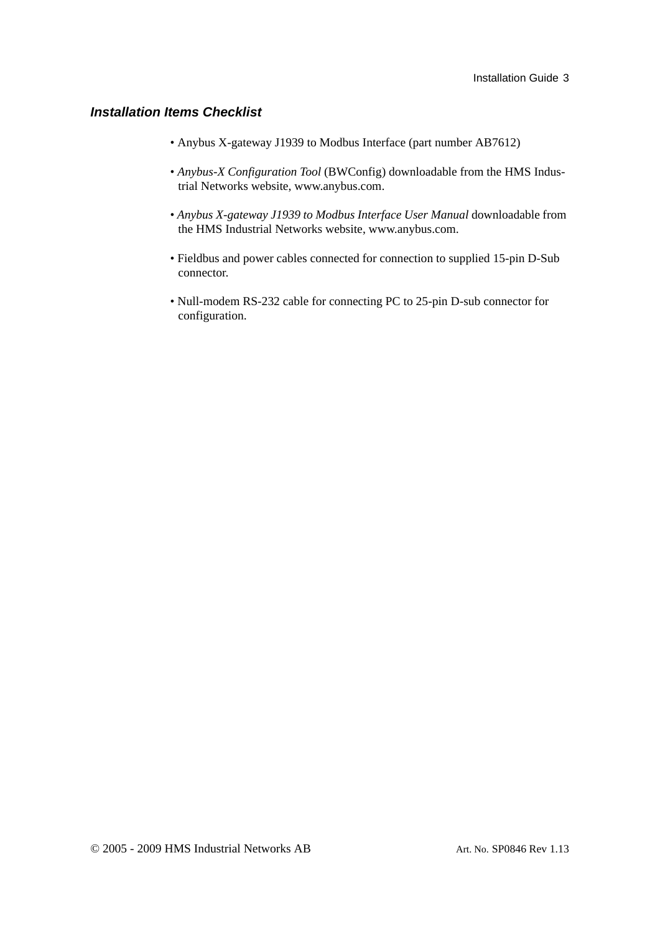#### <span id="page-3-0"></span>*Installation Items Checklist*

- Anybus X-gateway J1939 to Modbus Interface (part number AB7612)
- *Anybus-X Configuration Tool* (BWConfig) downloadable from the HMS Industrial Networks website, www.anybus.com.
- *Anybus X-gateway J1939 to Modbus Interface User Manual* downloadable from the HMS Industrial Networks website, www.anybus.com.
- Fieldbus and power cables connected for connection to supplied 15-pin D-Sub connector.
- Null-modem RS-232 cable for connecting PC to 25-pin D-sub connector for configuration.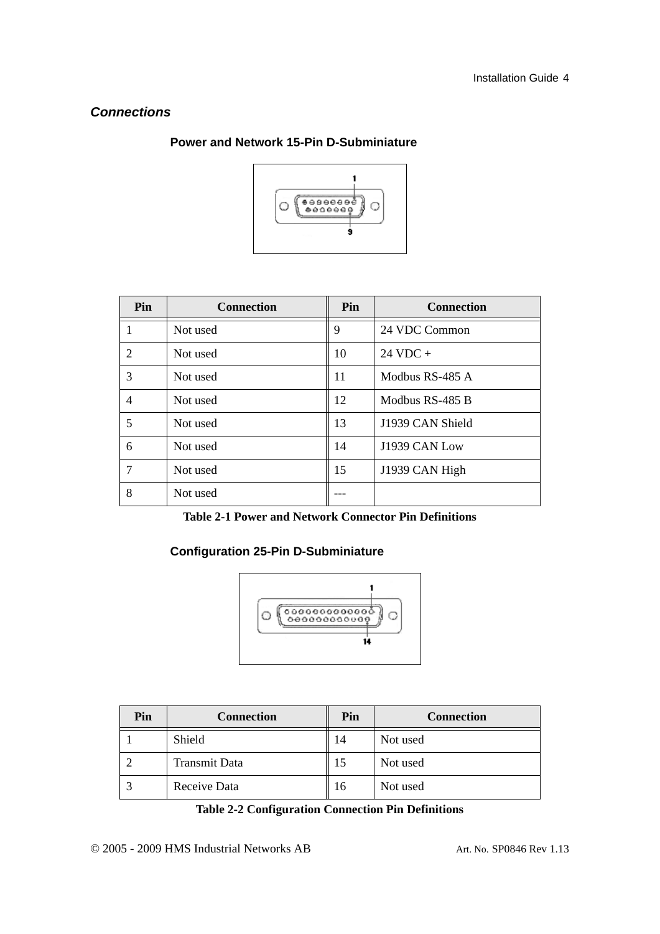#### <span id="page-4-1"></span><span id="page-4-0"></span>*Connections*



#### **Power and Network 15-Pin D-Subminiature**

| Pin            | <b>Connection</b> | Pin | <b>Connection</b>  |
|----------------|-------------------|-----|--------------------|
| 1              | Not used          | 9   | 24 VDC Common      |
| $\overline{2}$ | Not used          | 10  | $24 \text{ VDC} +$ |
| 3              | Not used          | 11  | Modbus RS-485 A    |
| $\overline{4}$ | Not used          | 12  | Modbus RS-485 B    |
| 5              | Not used          | 13  | J1939 CAN Shield   |
| 6              | Not used          | 14  | J1939 CAN Low      |
| 7              | Not used          | 15  | J1939 CAN High     |
| 8              | Not used          |     |                    |

**Table 2-1 Power and Network Connector Pin Definitions**

#### <span id="page-4-2"></span>**Configuration 25-Pin D-Subminiature**



| Pin | <b>Connection</b> | Pin | <b>Connection</b> |
|-----|-------------------|-----|-------------------|
|     | Shield            | 14  | Not used          |
|     | Transmit Data     |     | Not used          |
|     | Receive Data      | 16  | Not used          |

**Table 2-2 Configuration Connection Pin Definitions**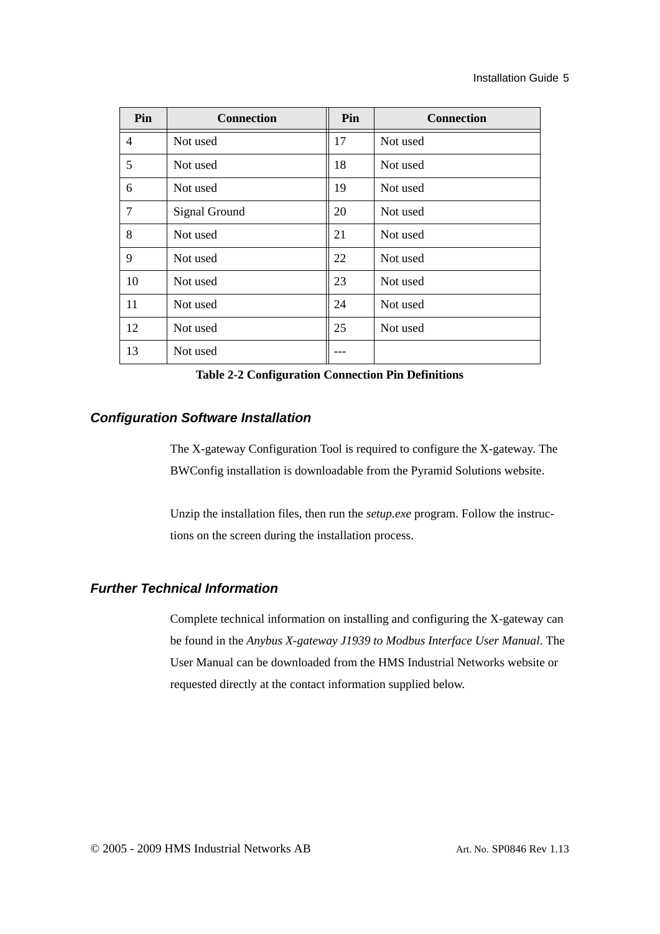| Pin            | <b>Connection</b> | Pin | <b>Connection</b> |
|----------------|-------------------|-----|-------------------|
| $\overline{4}$ | Not used          | 17  | Not used          |
| 5              | Not used          | 18  | Not used          |
| 6              | Not used          | 19  | Not used          |
| 7              | Signal Ground     | 20  | Not used          |
| 8              | Not used          | 21  | Not used          |
| 9              | Not used          | 22  | Not used          |
| 10             | Not used          | 23  | Not used          |
| 11             | Not used          | 24  | Not used          |
| 12             | Not used          | 25  | Not used          |
| 13             | Not used          |     |                   |

**Table 2-2 Configuration Connection Pin Definitions**

#### <span id="page-5-0"></span>*Configuration Software Installation*

The X-gateway Configuration Tool is required to configure the X-gateway. The BWConfig installation is downloadable from the Pyramid Solutions website.

Unzip the installation files, then run the *setup.exe* program. Follow the instructions on the screen during the installation process.

#### <span id="page-5-1"></span>*Further Technical Information*

Complete technical information on installing and configuring the X-gateway can be found in the *Anybus X-gateway J1939 to Modbus Interface User Manual*. The User Manual can be downloaded from the HMS Industrial Networks website or requested directly at the contact information supplied below.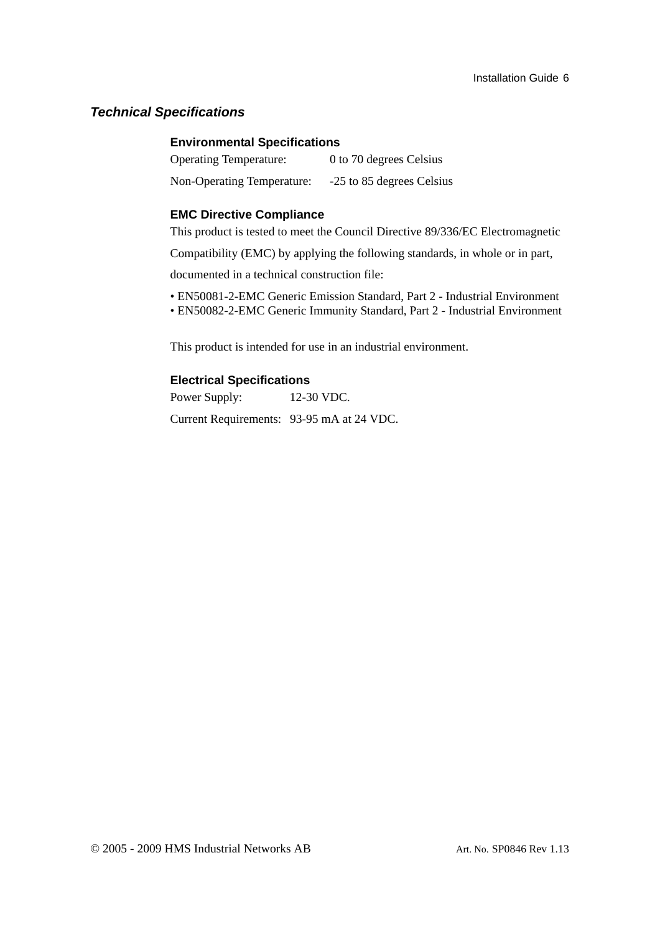#### <span id="page-6-1"></span><span id="page-6-0"></span>*Technical Specifications*

#### **Environmental Specifications**

| <b>Operating Temperature:</b> | 0 to 70 degrees Celsius   |
|-------------------------------|---------------------------|
| Non-Operating Temperature:    | -25 to 85 degrees Celsius |

#### <span id="page-6-2"></span>**EMC Directive Compliance**

This product is tested to meet the Council Directive 89/336/EC Electromagnetic

Compatibility (EMC) by applying the following standards, in whole or in part,

documented in a technical construction file:

- EN50081-2-EMC Generic Emission Standard, Part 2 Industrial Environment
- EN50082-2-EMC Generic Immunity Standard, Part 2 Industrial Environment

This product is intended for use in an industrial environment.

#### <span id="page-6-3"></span>**Electrical Specifications**

Power Supply: 12-30 VDC.

Current Requirements: 93-95 mA at 24 VDC.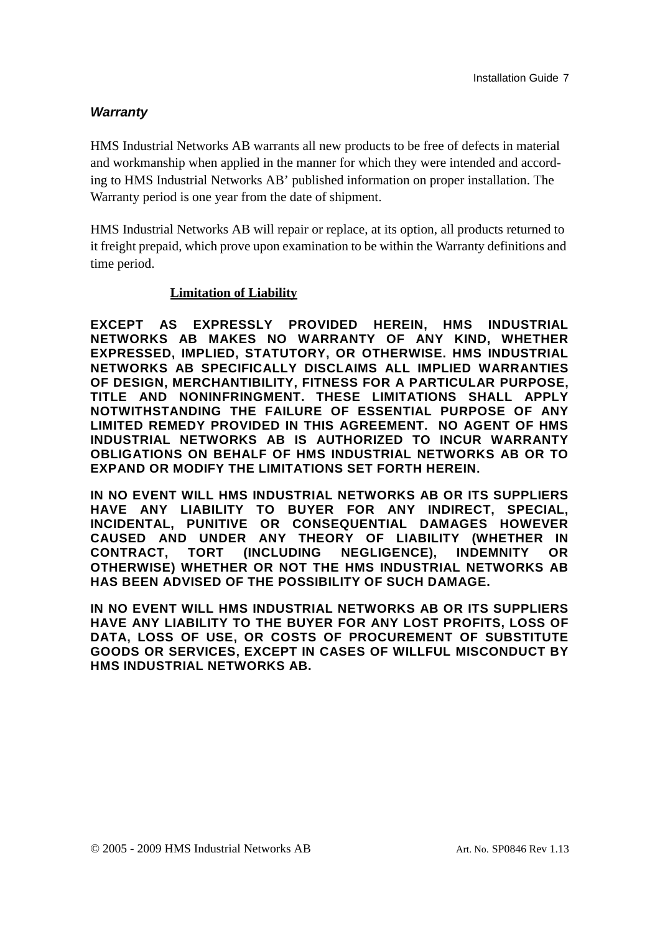#### <span id="page-7-0"></span>*Warranty*

HMS Industrial Networks AB warrants all new products to be free of defects in material and workmanship when applied in the manner for which they were intended and according to HMS Industrial Networks AB' published information on proper installation. The Warranty period is one year from the date of shipment.

HMS Industrial Networks AB will repair or replace, at its option, all products returned to it freight prepaid, which prove upon examination to be within the Warranty definitions and time period.

#### **Limitation of Liability**

**EXCEPT AS EXPRESSLY PROVIDED HEREIN, HMS INDUSTRIAL NETWORKS AB MAKES NO WARRANTY OF ANY KIND, WHETHER EXPRESSED, IMPLIED, STATUTORY, OR OTHERWISE. HMS INDUSTRIAL NETWORKS AB SPECIFICALLY DISCLAIMS ALL IMPLIED WARRANTIES OF DESIGN, MERCHANTIBILITY, FITNESS FOR A PARTICULAR PURPOSE, TITLE AND NONINFRINGMENT. THESE LIMITATIONS SHALL APPLY NOTWITHSTANDING THE FAILURE OF ESSENTIAL PURPOSE OF ANY LIMITED REMEDY PROVIDED IN THIS AGREEMENT. NO AGENT OF HMS INDUSTRIAL NETWORKS AB IS AUTHORIZED TO INCUR WARRANTY OBLIGATIONS ON BEHALF OF HMS INDUSTRIAL NETWORKS AB OR TO EXPAND OR MODIFY THE LIMITATIONS SET FORTH HEREIN.** 

**IN NO EVENT WILL HMS INDUSTRIAL NETWORKS AB OR ITS SUPPLIERS HAVE ANY LIABILITY TO BUYER FOR ANY INDIRECT, SPECIAL, INCIDENTAL, PUNITIVE OR CONSEQUENTIAL DAMAGES HOWEVER CAUSED AND UNDER ANY THEORY OF LIABILITY (WHETHER IN CONTRACT, TORT (INCLUDING NEGLIGENCE), INDEMNITY OR OTHERWISE) WHETHER OR NOT THE HMS INDUSTRIAL NETWORKS AB HAS BEEN ADVISED OF THE POSSIBILITY OF SUCH DAMAGE.** 

**IN NO EVENT WILL HMS INDUSTRIAL NETWORKS AB OR ITS SUPPLIERS HAVE ANY LIABILITY TO THE BUYER FOR ANY LOST PROFITS, LOSS OF DATA, LOSS OF USE, OR COSTS OF PROCUREMENT OF SUBSTITUTE GOODS OR SERVICES, EXCEPT IN CASES OF WILLFUL MISCONDUCT BY HMS INDUSTRIAL NETWORKS AB.**